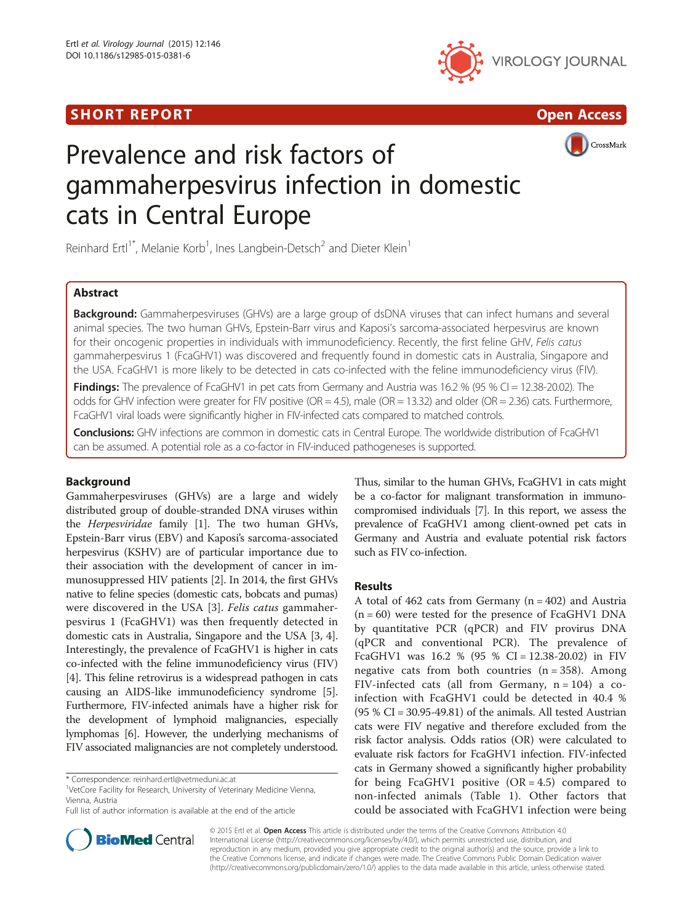## SHORT REPORT AND RESERVE THE SHORT CONTROL CONTROL CONTROL CONTROL CONTROL CONTROL CONTROL CONTROL CONTROL CONTROL CONTROL CONTROL CONTROL CONTROL CONTROL CONTROL CONTROL CONTROL CONTROL CONTROL CONTROL CONTROL CONTROL CON





CrossMark

# Prevalence and risk factors of gammaherpesvirus infection in domestic cats in Central Europe

Reinhard Ertl<sup>1\*</sup>, Melanie Korb<sup>1</sup>, Ines Langbein-Detsch<sup>2</sup> and Dieter Klein<sup>1</sup>

## Abstract

Background: Gammaherpesviruses (GHVs) are a large group of dsDNA viruses that can infect humans and several animal species. The two human GHVs, Epstein-Barr virus and Kaposi's sarcoma-associated herpesvirus are known for their oncogenic properties in individuals with immunodeficiency. Recently, the first feline GHV, Felis catus gammaherpesvirus 1 (FcaGHV1) was discovered and frequently found in domestic cats in Australia, Singapore and the USA. FcaGHV1 is more likely to be detected in cats co-infected with the feline immunodeficiency virus (FIV).

**Findings:** The prevalence of FcaGHV1 in pet cats from Germany and Austria was 16.2 % (95 % CI = 12.38-20.02). The odds for GHV infection were greater for FIV positive (OR = 4.5), male (OR = 13.32) and older (OR = 2.36) cats. Furthermore, FcaGHV1 viral loads were significantly higher in FIV-infected cats compared to matched controls.

Conclusions: GHV infections are common in domestic cats in Central Europe. The worldwide distribution of FcaGHV1 can be assumed. A potential role as a co-factor in FIV-induced pathogeneses is supported.

## Background

Gammaherpesviruses (GHVs) are a large and widely distributed group of double-stranded DNA viruses within the Herpesviridae family [\[1](#page-3-0)]. The two human GHVs, Epstein-Barr virus (EBV) and Kaposi's sarcoma-associated herpesvirus (KSHV) are of particular importance due to their association with the development of cancer in immunosuppressed HIV patients [\[2](#page-3-0)]. In 2014, the first GHVs native to feline species (domestic cats, bobcats and pumas) were discovered in the USA [[3\]](#page-3-0). Felis catus gammaherpesvirus 1 (FcaGHV1) was then frequently detected in domestic cats in Australia, Singapore and the USA [\[3](#page-3-0), [4](#page-3-0)]. Interestingly, the prevalence of FcaGHV1 is higher in cats co-infected with the feline immunodeficiency virus (FIV) [[4\]](#page-3-0). This feline retrovirus is a widespread pathogen in cats causing an AIDS-like immunodeficiency syndrome [[5](#page-3-0)]. Furthermore, FIV-infected animals have a higher risk for the development of lymphoid malignancies, especially lymphomas [\[6\]](#page-3-0). However, the underlying mechanisms of FIV associated malignancies are not completely understood.

<sup>1</sup>VetCore Facility for Research, University of Veterinary Medicine Vienna, Vienna, Austria



## Results

A total of  $462$  cats from Germany ( $n = 402$ ) and Austria  $(n = 60)$  were tested for the presence of FcaGHV1 DNA by quantitative PCR (qPCR) and FIV provirus DNA (qPCR and conventional PCR). The prevalence of FcaGHV1 was  $16.2 \%$  (95 % CI = 12.38-20.02) in FIV negative cats from both countries  $(n = 358)$ . Among FIV-infected cats (all from Germany,  $n = 104$ ) a coinfection with FcaGHV1 could be detected in 40.4 %  $(95 % CI = 30.95-49.81)$  of the animals. All tested Austrian cats were FIV negative and therefore excluded from the risk factor analysis. Odds ratios (OR) were calculated to evaluate risk factors for FcaGHV1 infection. FIV-infected cats in Germany showed a significantly higher probability for being FcaGHV1 positive  $(OR = 4.5)$  compared to non-infected animals (Table [1](#page-1-0)). Other factors that could be associated with FcaGHV1 infection were being



© 2015 Ertl et al. Open Access This article is distributed under the terms of the Creative Commons Attribution 4.0 International License [\(http://creativecommons.org/licenses/by/4.0/](http://creativecommons.org/licenses/by/4.0/)), which permits unrestricted use, distribution, and reproduction in any medium, provided you give appropriate credit to the original author(s) and the source, provide a link to the Creative Commons license, and indicate if changes were made. The Creative Commons Public Domain Dedication waiver [\(http://creativecommons.org/publicdomain/zero/1.0/](http://creativecommons.org/publicdomain/zero/1.0/)) applies to the data made available in this article, unless otherwise stated.

<sup>\*</sup> Correspondence: [reinhard.ertl@vetmeduni.ac.at](mailto:reinhard.ertl@vetmeduni.ac.at) <sup>1</sup>

Full list of author information is available at the end of the article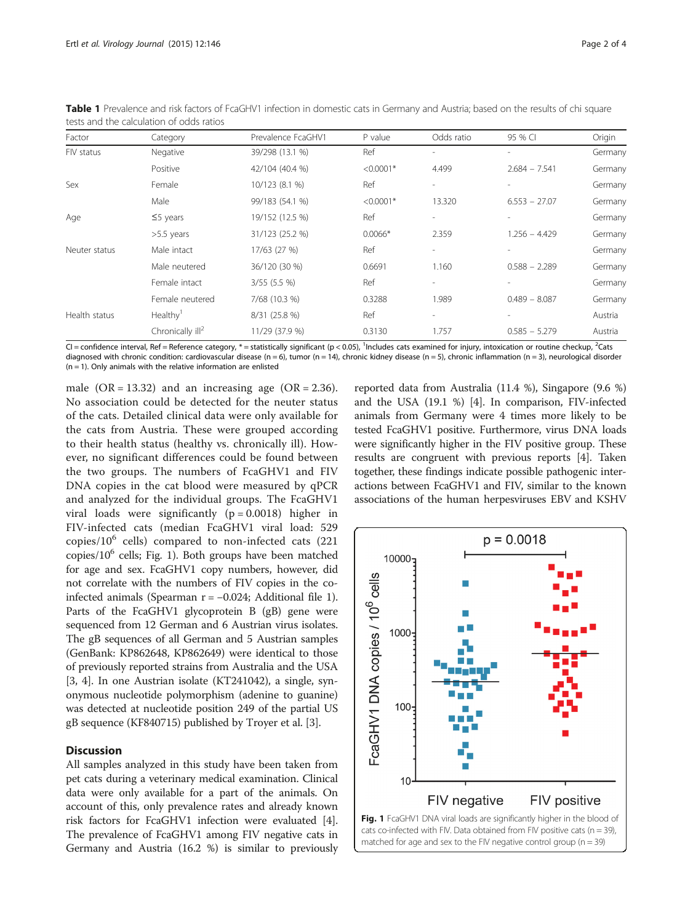| Factor        | Category                     | Prevalence FcaGHV1 | P value     | Odds ratio               | 95 % CI                  | Origin  |
|---------------|------------------------------|--------------------|-------------|--------------------------|--------------------------|---------|
| FIV status    | Negative                     | 39/298 (13.1 %)    | Ref         | $\overline{a}$           | $\overline{\phantom{a}}$ | Germany |
|               | Positive                     | 42/104 (40.4 %)    | $< 0.0001*$ | 4.499                    | $2.684 - 7.541$          | Germany |
| Sex           | Female                       | 10/123 (8.1 %)     | Ref         | ٠                        |                          | Germany |
|               | Male                         | 99/183 (54.1 %)    | $< 0.0001*$ | 13.320                   | $6.553 - 27.07$          | Germany |
| Age           | $\leq$ 5 years               | 19/152 (12.5 %)    | Ref         | $\overline{\phantom{0}}$ |                          | Germany |
|               | $>5.5$ years                 | 31/123 (25.2 %)    | $0.0066*$   | 2.359                    | $1.256 - 4.429$          | Germany |
| Neuter status | Male intact                  | 17/63 (27 %)       | Ref         | ٠                        |                          | Germany |
|               | Male neutered                | 36/120 (30 %)      | 0.6691      | 1.160                    | $0.588 - 2.289$          | Germany |
|               | Female intact                | $3/55$ (5.5 %)     | Ref         | $\overline{\phantom{a}}$ | $\overline{\phantom{a}}$ | Germany |
|               | Female neutered              | 7/68 (10.3 %)      | 0.3288      | 1.989                    | $0.489 - 8.087$          | Germany |
| Health status | Healthy <sup>1</sup>         | 8/31 (25.8 %)      | Ref         | ٠                        | $\overline{\phantom{a}}$ | Austria |
|               | Chronically $\mathsf{III}^2$ | 11/29 (37.9 %)     | 0.3130      | 1.757                    | $0.585 - 5.279$          | Austria |

<span id="page-1-0"></span>Table 1 Prevalence and risk factors of FcaGHV1 infection in domestic cats in Germany and Austria; based on the results of chi square tests and the calculation of odds ratios

CI = confidence interval, Ref = Reference category, \* = statistically significant (p < 0.05),  $^1$ Includes cats examined for injury, intoxication or routine checkup,  $^2$ Cats diagnosed with chronic condition: cardiovascular disease (n = 6), tumor (n = 14), chronic kidney disease (n = 5), chronic inflammation (n = 3), neurological disorder  $(n = 1)$ . Only animals with the relative information are enlisted

male  $(OR = 13.32)$  and an increasing age  $(OR = 2.36)$ . No association could be detected for the neuter status of the cats. Detailed clinical data were only available for the cats from Austria. These were grouped according to their health status (healthy vs. chronically ill). However, no significant differences could be found between the two groups. The numbers of FcaGHV1 and FIV DNA copies in the cat blood were measured by qPCR and analyzed for the individual groups. The FcaGHV1 viral loads were significantly  $(p = 0.0018)$  higher in FIV-infected cats (median FcaGHV1 viral load: 529 copies/ $10^6$  cells) compared to non-infected cats (221) copies/ $10^6$  cells; Fig. 1). Both groups have been matched for age and sex. FcaGHV1 copy numbers, however, did not correlate with the numbers of FIV copies in the coinfected animals (Spearman r = −0.024; Additional file [1](#page-2-0)). Parts of the FcaGHV1 glycoprotein B (gB) gene were sequenced from 12 German and 6 Austrian virus isolates. The gB sequences of all German and 5 Austrian samples (GenBank: KP862648, KP862649) were identical to those of previously reported strains from Australia and the USA [[3, 4](#page-3-0)]. In one Austrian isolate (KT241042), a single, synonymous nucleotide polymorphism (adenine to guanine) was detected at nucleotide position 249 of the partial US gB sequence (KF840715) published by Troyer et al. [[3\]](#page-3-0).

## **Discussion**

All samples analyzed in this study have been taken from pet cats during a veterinary medical examination. Clinical data were only available for a part of the animals. On account of this, only prevalence rates and already known risk factors for FcaGHV1 infection were evaluated [[4](#page-3-0)]. The prevalence of FcaGHV1 among FIV negative cats in Germany and Austria (16.2 %) is similar to previously

reported data from Australia (11.4 %), Singapore (9.6 %) and the USA (19.1 %) [\[4\]](#page-3-0). In comparison, FIV-infected animals from Germany were 4 times more likely to be tested FcaGHV1 positive. Furthermore, virus DNA loads were significantly higher in the FIV positive group. These results are congruent with previous reports [[4\]](#page-3-0). Taken together, these findings indicate possible pathogenic interactions between FcaGHV1 and FIV, similar to the known associations of the human herpesviruses EBV and KSHV

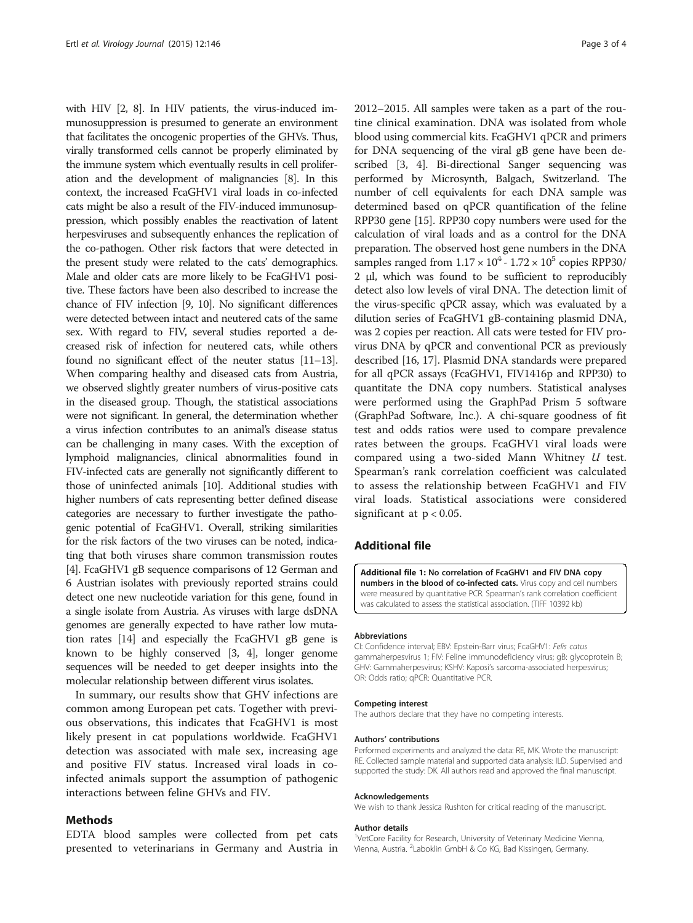<span id="page-2-0"></span>with HIV [\[2, 8](#page-3-0)]. In HIV patients, the virus-induced immunosuppression is presumed to generate an environment that facilitates the oncogenic properties of the GHVs. Thus, virally transformed cells cannot be properly eliminated by the immune system which eventually results in cell proliferation and the development of malignancies [\[8](#page-3-0)]. In this context, the increased FcaGHV1 viral loads in co-infected cats might be also a result of the FIV-induced immunosuppression, which possibly enables the reactivation of latent herpesviruses and subsequently enhances the replication of the co-pathogen. Other risk factors that were detected in the present study were related to the cats' demographics. Male and older cats are more likely to be FcaGHV1 positive. These factors have been also described to increase the chance of FIV infection [\[9](#page-3-0), [10\]](#page-3-0). No significant differences were detected between intact and neutered cats of the same sex. With regard to FIV, several studies reported a decreased risk of infection for neutered cats, while others found no significant effect of the neuter status [[11](#page-3-0)–[13](#page-3-0)]. When comparing healthy and diseased cats from Austria, we observed slightly greater numbers of virus-positive cats in the diseased group. Though, the statistical associations were not significant. In general, the determination whether a virus infection contributes to an animal's disease status can be challenging in many cases. With the exception of lymphoid malignancies, clinical abnormalities found in FIV-infected cats are generally not significantly different to those of uninfected animals [\[10\]](#page-3-0). Additional studies with higher numbers of cats representing better defined disease categories are necessary to further investigate the pathogenic potential of FcaGHV1. Overall, striking similarities for the risk factors of the two viruses can be noted, indicating that both viruses share common transmission routes [[4](#page-3-0)]. FcaGHV1 gB sequence comparisons of 12 German and 6 Austrian isolates with previously reported strains could detect one new nucleotide variation for this gene, found in a single isolate from Austria. As viruses with large dsDNA genomes are generally expected to have rather low mutation rates [\[14\]](#page-3-0) and especially the FcaGHV1 gB gene is known to be highly conserved [\[3, 4\]](#page-3-0), longer genome sequences will be needed to get deeper insights into the molecular relationship between different virus isolates.

In summary, our results show that GHV infections are common among European pet cats. Together with previous observations, this indicates that FcaGHV1 is most likely present in cat populations worldwide. FcaGHV1 detection was associated with male sex, increasing age and positive FIV status. Increased viral loads in coinfected animals support the assumption of pathogenic interactions between feline GHVs and FIV.

#### Methods

EDTA blood samples were collected from pet cats presented to veterinarians in Germany and Austria in 2012–2015. All samples were taken as a part of the routine clinical examination. DNA was isolated from whole blood using commercial kits. FcaGHV1 qPCR and primers for DNA sequencing of the viral gB gene have been described [[3, 4\]](#page-3-0). Bi-directional Sanger sequencing was performed by Microsynth, Balgach, Switzerland. The number of cell equivalents for each DNA sample was determined based on qPCR quantification of the feline RPP30 gene [\[15\]](#page-3-0). RPP30 copy numbers were used for the calculation of viral loads and as a control for the DNA preparation. The observed host gene numbers in the DNA samples ranged from  $1.17 \times 10^4$  -  $1.72 \times 10^5$  copies RPP30/ 2 μl, which was found to be sufficient to reproducibly detect also low levels of viral DNA. The detection limit of the virus-specific qPCR assay, which was evaluated by a dilution series of FcaGHV1 gB-containing plasmid DNA, was 2 copies per reaction. All cats were tested for FIV provirus DNA by qPCR and conventional PCR as previously described [[16](#page-3-0), [17\]](#page-3-0). Plasmid DNA standards were prepared for all qPCR assays (FcaGHV1, FIV1416p and RPP30) to quantitate the DNA copy numbers. Statistical analyses were performed using the GraphPad Prism 5 software (GraphPad Software, Inc.). A chi-square goodness of fit test and odds ratios were used to compare prevalence rates between the groups. FcaGHV1 viral loads were compared using a two-sided Mann Whitney U test. Spearman's rank correlation coefficient was calculated to assess the relationship between FcaGHV1 and FIV viral loads. Statistical associations were considered significant at  $p < 0.05$ .

## Additional file

[Additional file 1:](http://www.virologyj.com/content/supplementary/s12985-015-0381-6-s1.tif) No correlation of FcaGHV1 and FIV DNA copy numbers in the blood of co-infected cats. Virus copy and cell numbers were measured by quantitative PCR. Spearman's rank correlation coefficient was calculated to assess the statistical association. (TIFF 10392 kb)

#### Abbreviations

CI: Confidence interval; EBV: Epstein-Barr virus; FcaGHV1: Felis catus gammaherpesvirus 1; FIV: Feline immunodeficiency virus; gB: glycoprotein B; GHV: Gammaherpesvirus; KSHV: Kaposi's sarcoma-associated herpesvirus; OR: Odds ratio; qPCR: Quantitative PCR.

#### Competing interest

The authors declare that they have no competing interests.

#### Authors' contributions

Performed experiments and analyzed the data: RE, MK. Wrote the manuscript: RE. Collected sample material and supported data analysis: ILD. Supervised and supported the study: DK. All authors read and approved the final manuscript.

#### Acknowledgements

We wish to thank Jessica Rushton for critical reading of the manuscript.

#### Author details

<sup>1</sup>VetCore Facility for Research, University of Veterinary Medicine Vienna, Vienna, Austria. <sup>2</sup> Laboklin GmbH & Co KG, Bad Kissingen, Germany